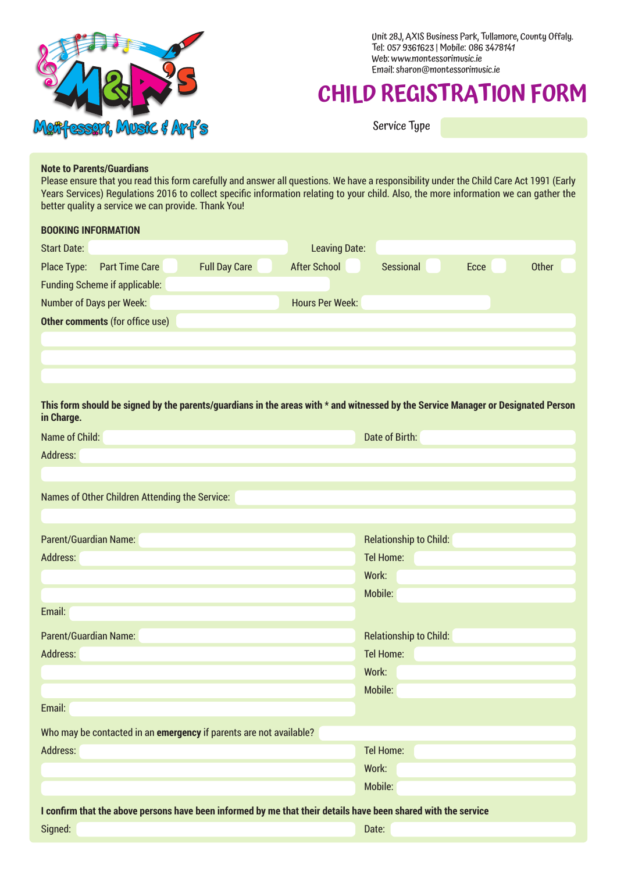

Unit 28J, AXIS Business Park, Tullamore, County Offaly. Tel: 057 9361623 | Mobile: 086 3478141 Web: www.montessorimusic.ie Email: sharon@montessorimusic.ie

# **CHILD REGISTRATION FORM**

Service Type

#### **Note to Parents/Guardians**

Please ensure that you read this form carefully and answer all questions. We have a responsibility under the Child Care Act 1991 (Early Years Services) Regulations 2016 to collect specific information relating to your child. Also, the more information we can gather the better quality a service we can provide. Thank You!

| <b>BOOKING INFORMATION</b>                                                                                                        |                                                          |
|-----------------------------------------------------------------------------------------------------------------------------------|----------------------------------------------------------|
| <b>Start Date:</b>                                                                                                                | <b>Leaving Date:</b>                                     |
| <b>Full Day Care</b><br>Place Type:<br><b>Part Time Care</b>                                                                      | <b>After School</b><br><b>Other</b><br>Sessional<br>Ecce |
| <b>Funding Scheme if applicable:</b>                                                                                              |                                                          |
| Number of Days per Week:                                                                                                          | <b>Hours Per Week:</b>                                   |
| Other comments (for office use)                                                                                                   |                                                          |
|                                                                                                                                   |                                                          |
|                                                                                                                                   |                                                          |
|                                                                                                                                   |                                                          |
| This form should be signed by the parents/guardians in the areas with * and witnessed by the Service Manager or Designated Person |                                                          |
| in Charge.<br>Name of Child:                                                                                                      | Date of Birth:                                           |
| Address:                                                                                                                          |                                                          |
|                                                                                                                                   |                                                          |
|                                                                                                                                   |                                                          |
| Names of Other Children Attending the Service:                                                                                    |                                                          |
|                                                                                                                                   |                                                          |
| <b>Parent/Guardian Name:</b>                                                                                                      | <b>Relationship to Child:</b>                            |
| Address:                                                                                                                          | <b>Tel Home:</b>                                         |
|                                                                                                                                   | Work:                                                    |
|                                                                                                                                   | Mobile:                                                  |
| Email:                                                                                                                            |                                                          |
| <b>Parent/Guardian Name:</b>                                                                                                      | <b>Relationship to Child:</b>                            |
| Address:                                                                                                                          | Tel Home:                                                |
|                                                                                                                                   | Work:                                                    |
|                                                                                                                                   | Mobile:                                                  |
| Email:                                                                                                                            |                                                          |
| Who may be contacted in an emergency if parents are not available?                                                                |                                                          |
| Address:                                                                                                                          | <b>Tel Home:</b>                                         |
|                                                                                                                                   | Work:                                                    |
|                                                                                                                                   | Mobile:                                                  |
| I confirm that the above persons have been informed by me that their details have been shared with the service                    |                                                          |
| Signed:                                                                                                                           | Date:                                                    |
|                                                                                                                                   |                                                          |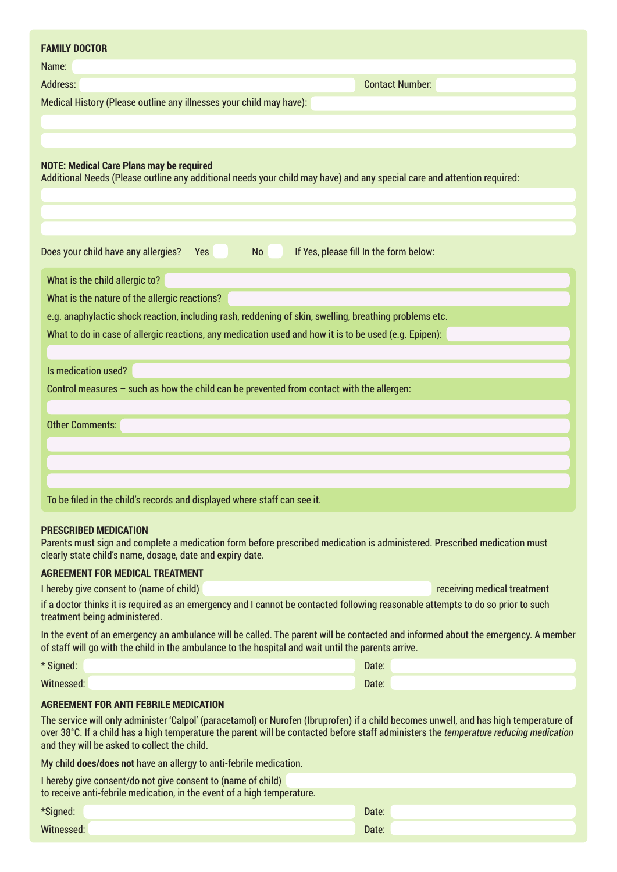| <b>FAMILY DOCTOR</b>                                                                                                                                                                                                                                                                                                             |       |                             |
|----------------------------------------------------------------------------------------------------------------------------------------------------------------------------------------------------------------------------------------------------------------------------------------------------------------------------------|-------|-----------------------------|
| Name:                                                                                                                                                                                                                                                                                                                            |       |                             |
| Address:                                                                                                                                                                                                                                                                                                                         |       | <b>Contact Number:</b>      |
| Medical History (Please outline any illnesses your child may have):                                                                                                                                                                                                                                                              |       |                             |
| <b>NOTE: Medical Care Plans may be required</b><br>Additional Needs (Please outline any additional needs your child may have) and any special care and attention required:                                                                                                                                                       |       |                             |
| Does your child have any allergies? Yes<br>If Yes, please fill In the form below:<br><b>No</b>                                                                                                                                                                                                                                   |       |                             |
| What is the child allergic to?                                                                                                                                                                                                                                                                                                   |       |                             |
| What is the nature of the allergic reactions?                                                                                                                                                                                                                                                                                    |       |                             |
| e.g. anaphylactic shock reaction, including rash, reddening of skin, swelling, breathing problems etc.                                                                                                                                                                                                                           |       |                             |
| What to do in case of allergic reactions, any medication used and how it is to be used (e.g. Epipen):                                                                                                                                                                                                                            |       |                             |
|                                                                                                                                                                                                                                                                                                                                  |       |                             |
| Is medication used?                                                                                                                                                                                                                                                                                                              |       |                             |
| Control measures - such as how the child can be prevented from contact with the allergen:                                                                                                                                                                                                                                        |       |                             |
| <b>Other Comments:</b>                                                                                                                                                                                                                                                                                                           |       |                             |
| To be filed in the child's records and displayed where staff can see it.                                                                                                                                                                                                                                                         |       |                             |
| <b>PRESCRIBED MEDICATION</b><br>Parents must sign and complete a medication form before prescribed medication is administered. Prescribed medication must<br>clearly state child's name, dosage, date and expiry date.                                                                                                           |       |                             |
| <b>AGREEMENT FOR MEDICAL TREATMENT</b>                                                                                                                                                                                                                                                                                           |       |                             |
| I hereby give consent to (name of child)                                                                                                                                                                                                                                                                                         |       | receiving medical treatment |
| if a doctor thinks it is required as an emergency and I cannot be contacted following reasonable attempts to do so prior to such<br>treatment being administered.                                                                                                                                                                |       |                             |
| In the event of an emergency an ambulance will be called. The parent will be contacted and informed about the emergency. A member<br>of staff will go with the child in the ambulance to the hospital and wait until the parents arrive.                                                                                         |       |                             |
| * Signed:                                                                                                                                                                                                                                                                                                                        | Date: |                             |
| Witnessed:                                                                                                                                                                                                                                                                                                                       | Date: |                             |
| AGREEMENT FOR ANTI FEBRILE MEDICATION                                                                                                                                                                                                                                                                                            |       |                             |
| The service will only administer 'Calpol' (paracetamol) or Nurofen (Ibruprofen) if a child becomes unwell, and has high temperature of<br>over 38°C. If a child has a high temperature the parent will be contacted before staff administers the temperature reducing medication<br>and they will be asked to collect the child. |       |                             |
| My child <b>does/does not</b> have an allergy to anti-febrile medication.                                                                                                                                                                                                                                                        |       |                             |
| I hereby give consent/do not give consent to (name of child)<br>to receive anti-febrile medication, in the event of a high temperature.                                                                                                                                                                                          |       |                             |
| *Signed:                                                                                                                                                                                                                                                                                                                         | Date: |                             |
| Witnessed:                                                                                                                                                                                                                                                                                                                       | Date: |                             |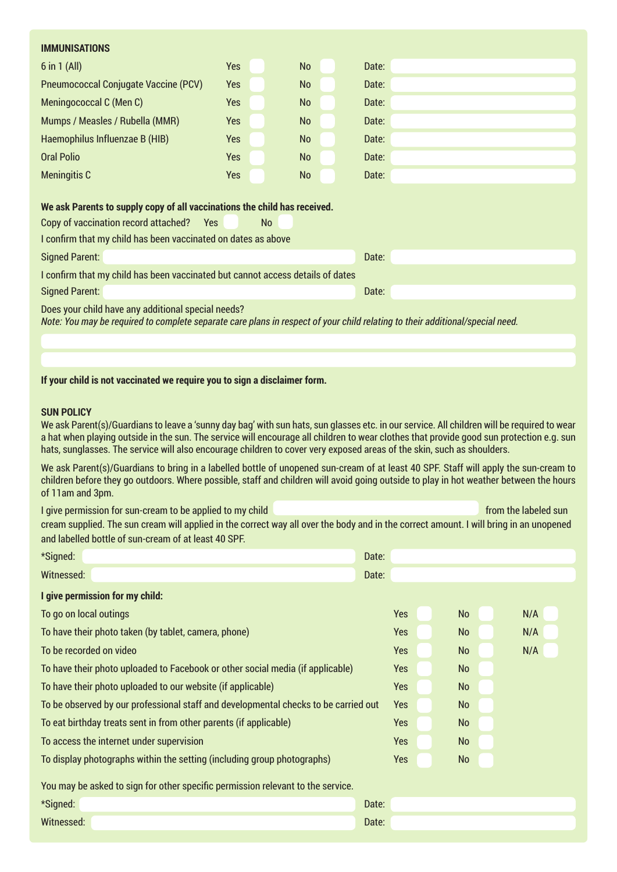| <b>IMMUNISATIONS</b>                                                                                                                                                                |            |  |           |  |       |  |  |
|-------------------------------------------------------------------------------------------------------------------------------------------------------------------------------------|------------|--|-----------|--|-------|--|--|
| $6$ in $1$ (All)                                                                                                                                                                    | <b>Yes</b> |  | <b>No</b> |  | Date: |  |  |
| <b>Pneumococcal Conjugate Vaccine (PCV)</b>                                                                                                                                         | <b>Yes</b> |  | <b>No</b> |  | Date: |  |  |
| Meningococcal C (Men C)                                                                                                                                                             | <b>Yes</b> |  | <b>No</b> |  | Date: |  |  |
| Mumps / Measles / Rubella (MMR)                                                                                                                                                     | <b>Yes</b> |  | <b>No</b> |  | Date: |  |  |
| Haemophilus Influenzae B (HIB)                                                                                                                                                      | <b>Yes</b> |  | <b>No</b> |  | Date: |  |  |
| <b>Oral Polio</b>                                                                                                                                                                   | <b>Yes</b> |  | <b>No</b> |  | Date: |  |  |
| <b>Meningitis C</b>                                                                                                                                                                 | Yes        |  | <b>No</b> |  | Date: |  |  |
|                                                                                                                                                                                     |            |  |           |  |       |  |  |
| We ask Parents to supply copy of all vaccinations the child has received.                                                                                                           |            |  |           |  |       |  |  |
| Copy of vaccination record attached?<br>Yes<br><b>No</b>                                                                                                                            |            |  |           |  |       |  |  |
| I confirm that my child has been vaccinated on dates as above                                                                                                                       |            |  |           |  |       |  |  |
| <b>Signed Parent:</b>                                                                                                                                                               |            |  |           |  | Date: |  |  |
| I confirm that my child has been vaccinated but cannot access details of dates                                                                                                      |            |  |           |  |       |  |  |
| <b>Signed Parent:</b><br>Date:                                                                                                                                                      |            |  |           |  |       |  |  |
| Does your child have any additional special needs?<br>Note: You may be required to complete separate care plans in respect of your child relating to their additional/special need. |            |  |           |  |       |  |  |
|                                                                                                                                                                                     |            |  |           |  |       |  |  |

**If your child is not vaccinated we require you to sign a disclaimer form.**

#### **SUN POLICY**

We ask Parent(s)/Guardians to leave a 'sunny day bag' with sun hats, sun glasses etc. in our service. All children will be required to wear a hat when playing outside in the sun. The service will encourage all children to wear clothes that provide good sun protection e.g. sun hats, sunglasses. The service will also encourage children to cover very exposed areas of the skin, such as shoulders.

We ask Parent(s)/Guardians to bring in a labelled bottle of unopened sun-cream of at least 40 SPF. Staff will apply the sun-cream to children before they go outdoors. Where possible, staff and children will avoid going outside to play in hot weather between the hours of 11am and 3pm.

I give permission for sun-cream to be applied to my child from the labeled sun from the labeled sun

cream supplied. The sun cream will applied in the correct way all over the body and in the correct amount. I will bring in an unopened and labelled bottle of sun-cream of at least 40 SPF.

| *Signed:                                                                            | Date: |            |           |     |
|-------------------------------------------------------------------------------------|-------|------------|-----------|-----|
| Witnessed:                                                                          | Date: |            |           |     |
| I give permission for my child:                                                     |       |            |           |     |
| To go on local outings                                                              |       | Yes        | <b>No</b> | N/A |
| To have their photo taken (by tablet, camera, phone)                                |       | <b>Yes</b> | <b>No</b> | N/A |
| To be recorded on video                                                             |       | <b>Yes</b> | No        | N/A |
| To have their photo uploaded to Facebook or other social media (if applicable)      |       | Yes        | No        |     |
| To have their photo uploaded to our website (if applicable)                         |       | <b>Yes</b> | <b>No</b> |     |
| To be observed by our professional staff and developmental checks to be carried out |       | Yes        | <b>No</b> |     |
| To eat birthday treats sent in from other parents (if applicable)                   |       | Yes        | <b>No</b> |     |
| To access the internet under supervision                                            |       | Yes        | No        |     |
| To display photographs within the setting (including group photographs)             |       | <b>Yes</b> | <b>No</b> |     |
| You may be asked to sign for other specific permission relevant to the service.     |       |            |           |     |
| *Signed:                                                                            | Date: |            |           |     |
| Witnessed:                                                                          | Date: |            |           |     |
|                                                                                     |       |            |           |     |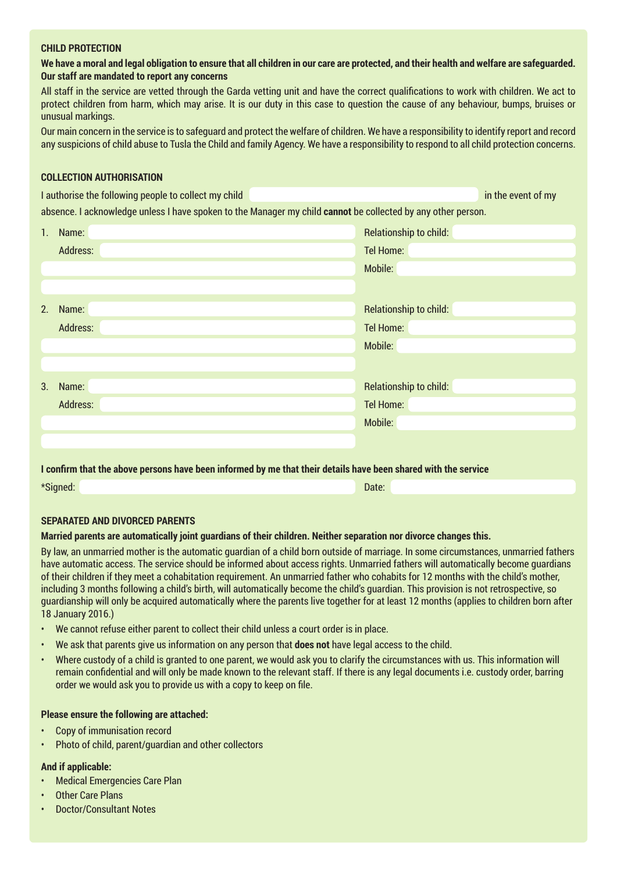#### **CHILD PROTECTION**

**We have a moral and legal obligation to ensure that all children in our care are protected, and their health and welfare are safeguarded. Our staff are mandated to report any concerns** 

All staff in the service are vetted through the Garda vetting unit and have the correct qualifications to work with children. We act to protect children from harm, which may arise. It is our duty in this case to question the cause of any behaviour, bumps, bruises or unusual markings.

Our main concern in the service is to safeguard and protect the welfare of children. We have a responsibility to identify report and record any suspicions of child abuse to Tusla the Child and family Agency. We have a responsibility to respond to all child protection concerns.

#### **COLLECTION AUTHORISATION**

I authorise the following people to collect my child in the event of my in the event of my absence. I acknowledge unless I have spoken to the Manager my child **cannot** be collected by any other person.

| 1. | Name:    | Relationship to child: |
|----|----------|------------------------|
|    | Address: | <b>Tel Home:</b>       |
|    |          | Mobile:                |
|    |          |                        |
| 2. | Name:    | Relationship to child: |
|    | Address: | <b>Tel Home:</b>       |
|    |          | Mobile:                |
|    |          |                        |
| 3. | Name:    | Relationship to child: |
|    | Address: | Tel Home:              |
|    |          | Mobile:                |
|    |          |                        |

#### **I confirm that the above persons have been informed by me that their details have been shared with the service**

\*Signed: Date:

#### **SEPARATED AND DIVORCED PARENTS**

# **Married parents are automatically joint guardians of their children. Neither separation nor divorce changes this.**

By law, an unmarried mother is the automatic guardian of a child born outside of marriage. In some circumstances, unmarried fathers have automatic access. The service should be informed about access rights. Unmarried fathers will automatically become guardians of their children if they meet a cohabitation requirement. An unmarried father who cohabits for 12 months with the child's mother, including 3 months following a child's birth, will automatically become the child's guardian. This provision is not retrospective, so guardianship will only be acquired automatically where the parents live together for at least 12 months (applies to children born after 18 January 2016.)

- We cannot refuse either parent to collect their child unless a court order is in place.
- We ask that parents give us information on any person that **does not** have legal access to the child.
- Where custody of a child is granted to one parent, we would ask you to clarify the circumstances with us. This information will remain confidential and will only be made known to the relevant staff. If there is any legal documents i.e. custody order, barring order we would ask you to provide us with a copy to keep on file.

# **Please ensure the following are attached:**

- Copy of immunisation record
- Photo of child, parent/guardian and other collectors

# **And if applicable:**

- Medical Emergencies Care Plan
- **Other Care Plans**
- Doctor/Consultant Notes